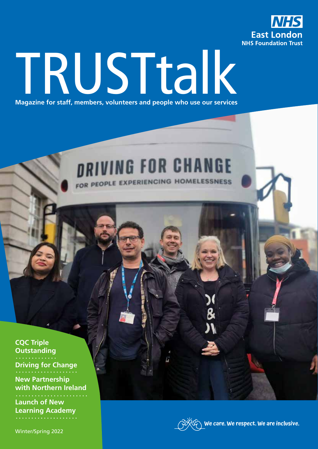

# TRUSTtalk **Magazine for staff, members, volunteers and people who use our services**

# *DRIVING FOR CHANGE*

FOR PEOPLE EXPERIENCING HOMELESSNESS

**CQC Triple Outstanding Driving for Change**

**New Partnership with Northern Ireland**

**Launch of New Learning Academy**

Winter/Spring 2022



**We care. We respect. We are inclusive.**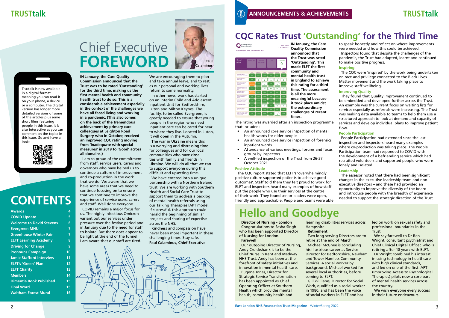

CareQuality **East London NHS Foundation Trust** 

# Chief Executive **FOREWORD**



**IN January, the Care Quality Commission announced that the Trust was to be rated 'Outstanding' for the third time, making us the first mental health and community health trust to do so. This is a considerable achievement especially in the context of the challenges we have all faced living and working in a pandemic. (This also comes on the back of the tremendous achievement by primary care colleagues at Leighton Road Surgery who in October, received an improved CQC rating moving from 'Inadequate with special measures' in 2019 to 'Good' across all domains.)** 

I am so proud of the commitment from staff, service users, carers and governors who have helped us to continue a culture of improvement and co-production in the work that we do. We aware that we have some areas that we need to continue focusing on to ensure that we continue to improve the experience of service users, carers and staff. Well done everyone

COVID remains a major focus for us. The highly infectious Omicron variant put our services under pressure over the festive period and in January due to the need for staff to isolate. But there does appear to be light at the end of the tunnel. I am aware that our staff are tired.

We are encouraging them to plan and take annual leave, and to rest, as our personal and working lives return to some normality.

Last rated **IN January, the Care Quality Commission announced that the Trust was rated 'Outstanding'. This made ELFT the first community and mental health trust in England to achieve this rating for a third time. The assessment is all the more meaningful because it took place amidst the extraordinary challenges of recent times.**

In other news, work has started on an interim Child and Adolescent Inpatient Unit for Bedfordshire, Luton and Milton Keynes. The facility, to be called Evergreen, is greatly needed to ensure that young people in the region who need inpatient care can be cared for near to where they live. Located in Luton, it will open in the Autumn.

The war in Ukraine means this is a worrying and distressing time for colleagues and for our local communities who have close ties with family and friends in Ukraine. We will do all that we can to support everyone during this difficult and upsetting time.

We have entered into a unique partnership with a Northern Ireland trust. We are working with Southern Health and Social Care Trust to support them to address a backlog of mental health referrals using our Talking Therapies IAPT model. If successful, this approach could herald the beginning of similar projects and sharing of expertise across the NHS.

Kindness and compassion have never been more important in these challenging times. Stay safe. **Paul Calaminus, Chief Executive**

| <b>Awards</b>                   | 4              |
|---------------------------------|----------------|
| <b>COVID Update</b>             | 5              |
| <b>Welcome to David Stevens</b> | 6              |
| <b>Evergreen MHU</b>            | 7              |
| <b>Greenhouse Winter Fair</b>   | 7              |
| <b>ELFT Learning Academy</b>    | 8              |
| <b>Driving for Change</b>       | 9              |
| <b>Pronouns Campaign</b>        | 10             |
| <b>Jamie Stafford Interview</b> | 11             |
| <b>ELFT's 'Green' Plan</b>      | 12             |
| <b>ELFT Charity</b>             | 1 <sub>3</sub> |
| <b>Members</b>                  | 14             |
| <b>Dimentia Book Published</b>  | 15             |
| <b>Final Word</b>               | 15             |
| <b>Waltham Forest Mural</b>     | 16             |
|                                 |                |

# **CONTENTS**

## **CQC Rates Trust 'Outstanding' for the Third Time**

The rating was awarded after an inspection programme that included:

- An announced core service inspection of mental health wards for older people
- An announced core service inspection of forensics inpatient wards
- Attendance at various meetings, forums and focus groups by inspectors
- A well-led inspection of the Trust from 26-27 October 2021

### **Positive Attitude**

The CQC report stated that ELFT's 'overwhelmingly positive culture supported patients to achieve good outcomes'. Staff told them they felt proud to work for ELFT and inspectors heard many examples of how staff put the people who use their services at the centre of their work. They found senior leaders were open, friendly and approachable. People and teams were able to speak honestly and reflect on where improvements were needed and how this could be achieved. Inspectors found that despite the challenges of the pandemic, the Trust had adapted, learnt and continued to make positive progress.

### **Inspiring**

The CQC were 'inspired' by the work being undertaken on race and privilege connected to the Black Lives Matter movement and the work taking place to improve staff wellbeing.

### **Improving Quality**

They found that Quality Improvement continued to be embedded and developed further across the Trust. An example was the current focus on waiting lists for services especially as referrals were increasing. The Trust was making data available to teams to help them use a structured approach to look at demand and capacity of services and develop individual plans to improve patient flow.

### **People Participation**

People Participation had extended since the last inspection and inspectors heard many examples where co-production was taking place. The People Participation team had responded to COVID with the development of a befriending service which had recruited volunteers and supported people who were lonely and isolated.

### **Leadership**

The assessor noted that there had been significant changes in the executive leadership team and nonexecutive directors – and these had provided an opportunity to improve the diversity of the board and introduce people with the breadth of experience needed to support the strategic direction of the Trust.



# **Hello and Goodbye**

**Director of Nursing - London** Congratulations to Sasha Singh who has been appointed Director of Nursing for London.

### **Farewell**

Our outgoing Director of Nursing, Andy Cruickshank is to be the Chief Nurse in Kent and Medway NHS Trust. Andy has been at the forefront of safety initiatives and innovation in mental health care. Eugene Jones, Director for Strategic Service Transformation has been appointed as Chief Operating Officer at Southern Health which provides mental health, community health and

learning disabilities services across

Hampshire.



**Retirement** Two long-serving Directors are to retire at the end of March. Michael McGhee is concluding his illustrious career as Service Director for Bedfordshire, Newham and Tower Hamlets Community Services. A social worker by background, Michael worked for several local authorities, before

coming to ELFT. Gill Williams, Director for Social Work, qualified as a social worker in 1980, and has been the voice of social workers in ELFT and has

led on work on sexual safety and professional boundaries in the Trust.

We say farewell to Dr Ben Wright, consultant psychiatrist and Chief Clinical Digital Officer, who is retiring after 18 years with ELFT.

Dr Wright combined his interest in using technology in healthcare with high clinical standards, and led on one of the first IAPT (Improving Access to Psychological Therapies) pilots now a core part of mental health services across the country.

We wish everyone every success in their future endeavours.

### Trustalk is now available in a digital format meaning you can read it on your phone, a device or a computer. The digital version has longer more detailed versions of some of the articles plus some short films featuring people in this issue. It is also interactive as you can comment on the topics in this issue. Go and have a look:

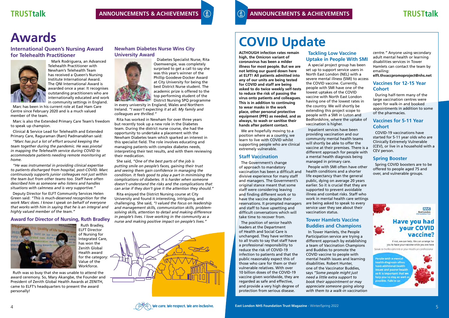**ALTHOUGH infection rates remain high, the Omicron variant of coronavirus has been a milder illness for most people. But we are not letting our guard down here at ELFT! All patients admitted into any of our units are being tested for COVID and staff are being asked to do twice weekly self-tests to reduce the risk of passing the virus onto patients and colleagues. This is in addition to continuing to wear masks in the work place, other personal protective equipment (PPE) as needed, and as always, to wash or sanitise their hands after patient contact.** 

We are hopefully moving to a position where as a country, we learn to live with COVID whilst supporting people who are clinical extremely vulnerable.

### **Staff Vaccination**

The Government's change of approach to mandatory vaccination has been a difficult and divisive experience for many staff and managers. The Government's original stance meant that some staff were considering leaving and finding different work or to have the vaccine despite their reservations. It prompted managers and staff to have upsetting and difficult conversations which will take time to recover from.

The position of senior health leaders at the Department of Health and Social Care is unchanged. They have written to all trusts to say that staff have a professional responsibility to reduce the risk of COVID-19 infection to patients and that the public reasonably expect this of those who care for them or their vulnerable relatives. With over 10 billion doses of the COVID-19 vaccine given worldwide, they are regarded as safe and effective, and provide a very high degree of protection from serious disease.

### **Tackling Low Vaccine Uptake in People With SMI**

A special project group has been set up to support service users in North East London (NEL) with a severe mental illness (SMI) to access the COVID vaccine. Currently, people with SMI have one of the lowest uptakes of the COVID vaccine with North East London having one of the lowest rates in the country. We will shortly be extending this project scope to people with a SMI in Luton and Bedfordshire, where the uptake of vaccination is higher.

Inpatient services have been providing vaccination and our community mental health teams will shortly be able to offer the vaccine at their premises. There is a different approach for people with a mental health diagnosis being managed in primary care.

People with SMI often have other health conditions and a shorter life expectancy than the general public, dying on average 20 years earlier. So it is crucial that they are supported to prevent avoidable illness and combat risks. Staff who work in mental health care settings are being asked to speak to every service user they see about their vaccination status.

### **Tower Hamlets Vaccine Buddies and Champions**

In Tower Hamlets, the People Participation service are trying a different approach by establishing a team of Vaccination Champions and Buddies to promote the COVID vaccine to people with mental health issues and learning disabilities. Robert Hunter, one of the Vaccinator Buddies, says *"Some people might just need a little extra support to book their appointment or may appreciate someone going along with them to a walk-in vaccination*  *centre."* Anyone using secondary adult mental health or learning disabilities services in Tower Hamlets can contact the team by emailing:

**elft.thvaccpromoproject@nhs.net**

### **Vaccines for 12-15 Year Cohort**

During half-term many of the large vaccination centres were open for walk-in and booked appointments in addition to some of the pharmacies.

### **Vaccines for 5-11 Year Cohort**

### **TRUSTtalk TRUST ANNOUNCEMENTS & ACHIEVEMENTS** (i) **TRUST ANNOUNCEMENTS & ACHIEVEMENTS TRUSTtalk ANNOUNCEMENTS & ACHIEVEMENTS ANNOUNCEMENTS & ACHIEVEMENTS**

COVID-19 vaccinations have started for 5-11 year olds who are Clinically Extremely Vulnerable (CEV), or live in a household with a CEV person.

### **Spring Booster**

Spring COVID boosters are to be offered to people aged 75 and over, and vulnerable groups.



possible. Talk to us

### **International Queen's Nursing Award for Telehealth Practitioner**



 Mark Rodriguera, an Advanced Telehealth Practitioner with Newham's Telehealth Team has received a Queen's Nursing Institute International Award. The QNI International Award is awarded once a year. It recognises outstanding practitioners who are internationally educated and work in community settings in England.

Marc has been in his current role at East Ham Care Centre since February 2020 and is a much valued member of the team.

Marc is also the Extended Primary Care Team's freedom to speak up champion.

Clinical & Service Lead for Telehealth and Extended Primary Care, Raguraman (Ram) Padmanabhan said:

*"Marc has put a lot of effort around keeping the team together during the pandemic. He was pivotal in mapping the Telehealth service during COVID to accommodate patients needing remote monitoring at home.*

*"He was instrumental in providing clinical expertise to patients discharged from hospital, post-COVID. Marc continuously supports junior colleagues not just within the team but from other teams too. Staff have often described him as someone who listens and handles situations with calmness and is very supportive."*

Deputy Director for ELFT Community Services Helen Green said: *"This is much-deserved recognition for the work Marc does. I know I speak on behalf of everyone that works with him in saying that he is an integral and highly valued member of the team."*

### **Award for Director of Nursing, Ruth Bradley**



Ruth Bradley,

ELFT Director of Nursing for Integrated Care, has won the Zenith Global Health award for the category:  $\leq$ Value of the Workforce.

Ruth was so busy that she was unable to attend the award ceremony. So, Mary Akangbe, the Founder and President of Zenith Global Health Awards at ZENITH, came to ELFT's headquarters to present the award personally!

### **Newham Diabetes Nurse Wins City University Award**



 Diabetes Specialist Nurse, Rita Osemwengie, was completely surprised to get a call to say she was this year's winner of the Phillip Goodeve-Docker Award at City University for being the best District Nurse student. The academic prize is offered to the top performing student of the District Nursing SPQ programme

in every university in England, Wales and Northern Ireland. *"I wasn't expecting it at all. My family and colleagues are thrilled."*

Rita has worked in Newham for over three years but recently took up a new role in the Diabetes team. During the district nurse course, she had the opportunity to undertake a placement with the Newham Diabetes team which sparked an interest in this specialist field. The role involves educating and managing patients with complex diabetes needs, interpreting their test results, and with them reviewing their medication.

She said, *"One of the best parts of the job is putting smile on people's faces, gaining their trust and seeing them gain confidence in managing the condition. It feels good to play a part in minimising the complications of diabetes. It is harder when someone doesn't understand the risks and the complications that can arise if they don't give it the attention they should."*

Rita enjoyed the District Nursing course at City University and found it interesting, intriguing, and challenging. She said, *"I valued the focus on leadership and management skills, communication skills, problemsolving skills, attention to detail and making difference in people's lives. I love working in the community as a nurse and making positive impact on people's lives."*



# Awards **COVID Update**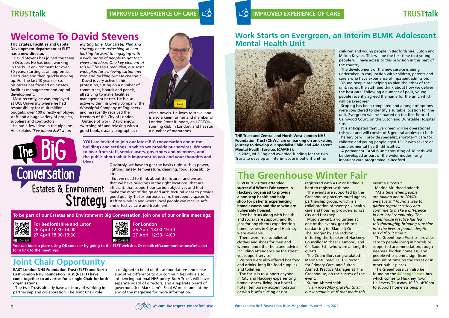### **TRUSTtalk TRUSTTAL IMPROVED EXPERIENCE OF CARE**  $\leq \frac{1}{2}$  **IMPROVED EXPERIENCE OF CARE**





# **The Greenhouse Winter Fair**

**THE Trust and Central and North West London NHS Foundation Trust (CNWL) are embarking on an exciting journey to develop our specialist Child and Adolescent Mental Health Services (CAMHS).** 

In 2021, NHS England awarded funding for the two Trusts to develop an interim acute inpatient unit for

children and young people in Bedfordshire, Luton and Milton Keynes. This will be the first time that young people will have access to this provision in this part of the country.

The development of the new service is being undertaken in conjunction with children, parents and carers who have experience of inpatient admission.

Young people are helping us plan the ethos of the unit, recruit the staff and think about how we deliver the best care. Following a number of polls, young people recently agreed the name for the unit, which will be Evergreen.

Scoping has been completed and a range of options were considered to identify a suitable location for the unit. Evergreen will be situated on the first floor of Calnwood Court, on the Luton and Dunstable Hospital site.

It is anticipated that Evergreen will be operational this year and will consist of 8 general adolescent beds. The service will provide specialist, short-term care for children and young people aged 13-17 with severe or complex mental health difficulties.

A permanent CAMHS unit consisting of 18 beds will be developed as part of the wider modernising inpatient care programme in Bedford.

**SEVENTY visitors attended successful Winter Fair events in Hackney organised to provide a one-stop health and help shop for patients experiencing homelessness and those who are vulnerably housed.** 

Free haircuts along with health and social care support, and flu jabs for any visitors experiencing homelessness in City and Hackney were available.

There were free supplies of clothes and shoes for men and women and other help and advice including attendance by the street vet support service.

Visitors were also offered hot food and drinks, long life food supplies and toiletries.

The focus is to support anyone in City and Hackney experiencing homelessness, living in a hostel, hotel, temporary accommodation or who is sofa surfing or not

registered with a GP or finding it hard to register with one. The events are supported by the Greenhouse practices multi agency partnership group, which is a collaboration of twenty-six health, care and housing providers across city and Hackney.

Mojo Stewart, a volunteer at one of the events, got visitors up dancing to 'Blame It On The Boogie' by The Jackson 5, including the Speaker of Hackney, Councillor Michael Desmond, and Cllr Sade Etti, who were among the guests.

The Councillors congratulated Marina Muiread, ELFT Director for Primary Care, and Sultan Ahmed, Practice Manager at The Greenhouse, on the success of the event.

Sultan Ahmed said: *"I am incredibly grateful to all our incredible staff that made this*  *event a success."* Marina Muirhead added:

*"At a time when people are talking about COVID, we have still found a way to gather together safely and continue to make a difference in our local community. The Greenhouse Practice has led this thoroughly, bringing sunshine into the lives of people despite this difficult time."* 

The Greenhouse Practice provides care to people living in hostels or supported accommodation, rough sleepers, hidden homeless, and people who spend a significant amount of time on the street or in other public places.

The Greenhouse can also be found on the **@ChangePlease** bus, which comes to Hackney Town Hall every Thursday 10:30 - 4:30pm to support homeless people.

# **Welcome To David Stevens**

### **THE Estates, Facilities and Capital Development department at ELFT has a new director.**

 David Stevens has joined the team in October. He has been working in the built environment for over 30 years, starting as an apprentice electrician and then quickly moving up. For the last 10 years or so, his career has focused on estates, facilities management and capital development.

Most recently, he was employed at UCL University where he had responsibility for multimillion budgets, over 100 directly employed staff and a huge variety of projects, suppliers and contractors.

He has a few ideas in the pipeline. He explains *"I've joined ELFT at an* 

*exciting time. Our Estates Plan and strategy needs refreshing so I am looking forward to engaging with a wide range of people to get their views and ideas. One key element of this will be the Green Plan, our Trust wide plan for achieving carbon net zero and tackling climate change."* David is very active in his

profession, sitting on a number of committees, boards and panels, all striving to make facilities management better. He is also active within his Livery company; the Worshipful Company of Engineers, and he recently received the freedom of the City of London. Outside of work, David enjoys switching off and relaxing with a good book, usually biographies or



crime novels. He loves to travel and is also a keen runner and member of London Front Runners, an LGBTQI+ running club in London, and has run a number of marathons.

Obviously, we have to get the basics right such as power, lighting, safety, temperature, cleaning, food, accessibility, etc.

But we need to think about the future - and ensure that we have buildings in the right locations, that are efficient, that support our carbon objectives and that make the most of design and architectural ideas to provide good quality, fit-for-purpose, calm, therapeutic spaces for staff to work in and where local people can receive safe and effective care and treatment.

**For Bedfordshire and Luton** 26 April 12:30-14:00 27 April 18:00-19:30



26 April 18:00-19:30 27 April 12:30-14:00

**To be part of our Estates and Environment Big Conversation, join one of our online meetings:**



**You can book a place using QR codes or by going to the ELFT website. Or email: elft.communications@nhs.net for a link to the meetings.**

**YOU are invited to join our latest BIG conversation about the buildings and settings in which we provide our services. We want to hear from staff, service users, governors and members, and the public about what is important to you and your thoughts and** 



**EAST London NHS Foundation Trust (ELFT) and North East London NHS Foundation Trust (NELFT) have come together to advertise for a single Chair for both organisations.**

The two Trusts already have a history of working in partnership and collaboration. The Joint Chair role

is designed to build on these foundations and make a positive difference to our communities while also influencing national NHS policy. Both Trust's will have separate board of directors, and a separate board of governors. See Mark Lam's 'Final Word column at the end of the magazine for more information.

## **Joint Chair Opportunity**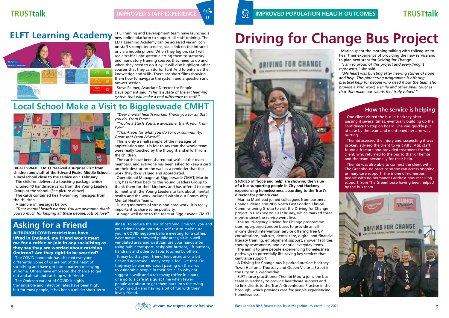### **How the service is helping**

One client visited the bus in Hackney after passing it several times, eventually building up the confidence to step on board. She was quickly put at ease by the team and mentioned her arm was hurting.

Thembi assessed the injury and, suspecting it was broken, advised the client to visit A&E. A&E staff found a fracture and provided treatment for the client, who returned to the bus to thank Thembi and the team personally for their help.

Thembi was also able to connect the client with The Greenhouse practice so she can access ongoing primary care support. She is one of numerous people with no permanent address now receiving support from The Greenhouse having been helped by the bus team.



# **Driving for Change Bus Project**



**STORIES of 'hope and help' are showing the value of a bus supporting people in City and Hackney experiencing homelessness, according to the Trust's director for primary care.**

Marina Muirhead joined colleagues from partners Change Please and NHS North East London Clinical Commissioning Group to visit the Driving for Change project in Hackney on 10 February, which marked three months since the service went live.

The multi-agency Driving for Change programme uses repurposed London buses to provide an allin-one direct intervention service offering free GP consultations, haircuts, dental care, digital and financial literacy training, employment support, shower facilities, therapy assessments, and essential everyday items.

The aim is to give people experiencing homelessness pathways to potentially life-saving key services that centralise support.

A Driving for Change bus is parked outside Hackney Town Hall on a Thursday and Queen Victoria Street in the City on a Wednesday.

ELFT nurse practitioner Thembi Mpofu joins the bus team in Hackney to provide healthcare support and to link clients to the Trust's Greenhouse Practice in the borough, which provides care for people experiencing homelessness.

Marina spent the morning talking with colleagues to hear their experience of providing the new service and to plan next steps for Driving for Change.

*"I am so proud of this project and everything it represents,"* she said.

*"My heart was bursting after hearing stories of hope and help. This pioneering programme is offering practical help for people who need it but the team also provide a kind word, a smile and other small touches that that make our clients feel truly valued."*



## **Local School Make a Visit to Biggleswade CMHT**



new online platform to support all staff training. The ELFT Learning Academy can be accessed via an icon on staff's computer screens, via a link on the intranet or via a mobile phone. When they log on, staff will see a traffic light system alerting them to statutory and mandatory training courses they need to do and when they need to do it by. It will also highlight other courses that they can do for fun! And to enhance their knowledge and skills. There are short films showing them how to navigate the system and a question and answer section.

Steve Palmer, Associate Director for People Development said, *"This is a state of the art learning system that will make a real difference to staff."*

**BIGGLESWADE CMHT received a surprise visit from children and staff of the Edward Peake Middle School, a local school close to the service on 1 February.**

The children delivered a touching package which included 40 handmade cards from the Young Leaders Group at the school. (See picture above)

# **ELFT Learning Academy** THE Training and Development team have launched a



The cards contained heart-warming messages from the children.

A sample of messages below:

*"Dear mental health worker. You are awesome thank you so much for helping all these people, lots of love"*

*"Dear mental health worker. Thank you for all that you do. From Esme"*

*"You're a Star!! You are awesome, thank you. From Evie"*

*"Thank you for what you do for our community! Great Job! From Edward"*

This is only a small sample of the messages of appreciation and it is fair to say that the whole team were really touched by the thought and effort from the children.

The cards have been shared out with all the team members, and everyone has been asked to keep a card on their desk or on the wall as a reminder that the work they do is valued and appreciated.

Operational Manager at Biggleswade CMHT, Martin Orr, has written back to the Young Leaders Group to thank them for their kindness and has offered to come to meet with the Young Leaders to talk about mental health and the work included within our Community Mental Health Teams.

During moments of stress and hard work, it is really important to share some positivity.

A huge well done to the team at Biggleswade CMHT!

## **Asking for a Friend**

ALTHOUGH COVID restrictions have lifted in England, my friend won't meet me for a coffee or join in any socialising as they say they are worried about catching Omircon? Are they right to be worried?

The COVID pandemic has affected everyone differently. Some of us are out of the habit of socialising and have got into a pattern of staying at home. Others have embraced the chance to get out and about and catch up with friends.

The Omircon variant of COVID is highly transmissible and infection rates have been high, but for most people, it has been a milder short-term

illness. To reduce the risk of catching Omicron, you and your friend could both do a self-test to make sure you're COVID negative before meeting for a coffee, wear masks in crowded public areas, sit in a well ventilated area and wash/sanitise your hands after using public transport, cashpoint buttons, lift buttons, handrails and other surfaces touched by others. It may be that your friend feels anxious or a bit flat and depressed - many people feel like that. Or they may be worried about passing on the virus to vulnerable people in their circle. So why not suggest a walk and a takeaway coffee in a park, or a go to a cafe at a quiet time when fewer people are about to get them back into the swing of going out - and having a bit of fun with their lovely friend.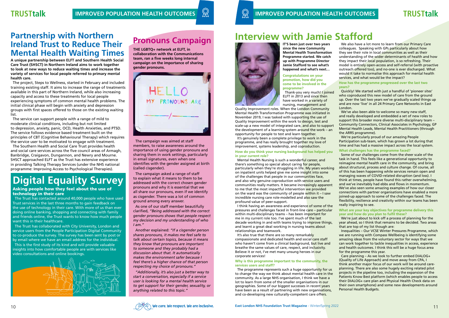# **Interview with Jamie Stafford**



**IT'S been just over two years since the new Community Mental Health Transformation Programme started. We catch up with Programme Director Jamie Stafford to see what's happened and what's next…**

Thank-you very much! I joined ELFT in 2013 and since then have worked in a variety of nursing, management and

### **Congratulations on your promotion, how did you come to be involved in the programme?**

It's genuinely been a complete privilege to work in the programme, and has really brought together my love of improvement, systems leadership, and coproduction.

I think having an awareness and experience of some of the pressures and challenges faced in front-line care – particular within multi-disciplinary teams – has been important for me in my current role too. I've spent much of the last decade working in and with teams trying to improve things, and learnt a great deal working in nursing teams about relationships and teamwork.

**How do you think your nursing background has helped you in your current role?**

It's also true that there are so many remarkably compassionate and dedicated health and social care staff who haven't come from a clinical background, but live and breathe the same values of care, respect, and inclusivity. Believe it or not, I've met many unsung heroes in our corporate services!

We also have a lot more to learn from our Primary Care colleagues. Speaking with GPs particularly about how they see their role in local communities as well as their understanding of the wider determinants of health and how they impact their local population, is so refreshing. Their model is entirely open-access and self-referral (with proactive outreach offered too), and no-one is ever discharged. What would it take to normalise this approach for mental health services, and what would be the impact?

Quality Improvement roles. When the London Community Mental Health Transformation Programme was initiated in November 2019, I was tasked with supporting the use of Quality Improvement within the work to design, test and scale-up a new model of integrated care, and also to support the development of a learning system around the work – an opportunity for people to test and learn together. We've also been able to welcome so many new staff, and really developed and embedded a set of new roles to support this broader more diverse multi-disciplinary team – Community Connectors, Clinical Associates in Psychology, GP Mental Health Leads, Mental Health Practitioners (through the ARRS programme).

### **Why is this programme important to the community, the services users and staff?**

The programme represents such a huge opportunity for us to change the way we think about mental health care in the community. As a large NHS organisation, I think we have a lot to learn from some of the smaller organisations in our geographies. Some of our biggest successes in recent years have been as a result of partnering with new organisations, and co-developing new culturally-competent care offers.

10 **East London NHS Foundation Trust Magazine** - Winter/Spring 2022 **11** and the state of the state of the state of the state of the state of the state of the state of the state of the state of the state of the state of t

Mental Health Nursing is such a wonderful career, and there's something so special about caring for people, particularly when they're struggling in life. My years working on inpatient units helped give me some insight into some of the challenges that people in our communities face, and also why genuine coproduction with service users and communities really matters. It became increasingly apparent to me that the most impactful intervention we provided on the ward was the community of people within it – I saw incredible nursing care role-modelled and also saw the profound value of peer-support. Some of our challenges come from the sheer scale of the task in hand. This feels like a generational opportunity to reimagine mental health care in the community, and bring about structural, process and culture change. Of course, all of this has been happening while services remain open and managing waves of COVID-related disruption (and loss). I think at times, people have found this rather overwhelming, and we've inevitably had ebbs and flows in momentum. We've also seen some amazing examples of how our closer connections with partner organisations have enabled a more joined-up approach to some of the challenges faced. The flexibility, resilience and creativity within our teams has been really inspiring to see.

### **How has the programme progressed over the last two years?**

Quickly! We started with just a handful of 'pioneer sites' who coproduced this new model of care from the ground up. Over the last two years we've gradually scaled things up and are now 'live' in all 24 Primary Care Networks in East London.

We're particularly proud of our amazing People Participation sub-team, which has grown a lot during that time and has had a massive impact across the local system.

### **What challenges has the programme faced?**

### **What are your key objectives for programme delivery this year and how do you plan to fulfil these?**

We're just about to kick off a process of planning for the year ahead, so I think that remains to be decided. Two areas that are top of my list though are:

Inequalities – Our VCSE Winter Pressures Programme, which we are running with Compass Wellbeing is identifying some amazing ideas from the voluntary sector for ways that we can work together to tackle inequalities in access, experience and health outcomes. I think this will be a huge focus area for the programme this year.

Care planning – As we look to further embed DIALOG+ (Quality of Life Approach) and move away from CPA, I think another major focus of our work will be around careplanning. There are also some hugely exciting related pilot projects in the pipeline too, including the expansion of the Patients Know Best platform (which enables people to access their DIALOG+ care plan and Physical Health Check data on their own smartphone) and some new developments around Personal Health Budgets.



**Pronouns Campaign**

**THE LGBTQ+ network at ELFT, in collaboration with the Communications team, ran a five weeks long internal campaign on the importance of sharing gender pronouns.**



The campaign was aimed at staff members, to raise awareness around the importance of using gender pronouns and sharing them in work settings, particularly in email signatures, even when one identifies with the gender assigned at birth (called cisgender).

The campaign asked a range of staff to explain what it means to them to be addressed with the correct chosen gender pronouns and why it is essential that we all share our pronouns, even if we identify as cisgender. There was a lot of common ground among every answer.

As one of our staff member beautifully clarified, *"Being addressed with the correct gender pronouns shows that people respect my decision and my understanding of who I am."*

Another explained: *"If a cisgender person shares pronouns, it makes me feel safe to talk about certain topics, because it means they know that pronouns are important to someone and they probably had a discussion about that. It automatically makes the environment safer because I feel there's a higher chance of that person respecting my choice of pronouns."*

*"Additionally, it's also just a better way to start a conversation, especially if a service user is looking for a mental health service to get support for their gender, sexuality, or anything related to this topic."*

## **Partnership with Northern Ireland Trust to Reduce Their Mental Health Waiting Times**

**A unique partnership between ELFT and Southern Health Social Care Trust (SHSCT) in Northern Ireland aims to work together to look at new ways to reduce waiting times and increase the variety of services for local people referred to primary mental health care.**

The project, Steps to Wellness, started in February and included training existing staff. It aims to increase the range of treatments available in this part of Northern Ireland, while also increasing capacity and access to these treatments for local people experiencing symptoms of common mental health problems. The initial clinical phase will begin with anxiety and depression groups with first spaces offered to those on the existing waiting list.

The service can support people with a range of mild to moderate clinical conditions, including but not limited to depression, anxiety, panic, OCD, Health Anxieties, and PTSD. The service follows evidence based treatment built on the principles of CBT (Cognitive Behavioural Therapy) which requires the service user to be motivated to engage with treatment.

The Southern Health and Social Care Trust provides health and social care services across the five council areas of Armagh, Banbridge, Craigavon, Dungannon, and Newry and Mourne. SHSCT approached ELFT as the Trust has extensive experience in providing Talking Therapy Services (under the NHS national programme: Improving Access to Psychological Therapies).

Asking people how they feel about the use of technology in their care

The Trust has contacted around 40,000 people who have used Trust services in the last three months to gain feedback on the use of technology in their care. With more of us than ever doing online banking, shopping and connecting with family and friends online, the Trust wants to know how much people want this in their healthcare.

The Trust has collaborated with City University, London and service users from the People Participation Digital Community to co-produce the survey. The survey has been sent by post or by email where we have an email address for the individual.

This is the first study of its kind and will provide valuable insights into how comfortable people are with services like video consultations and online bookings.



# **Digital Equality Survey**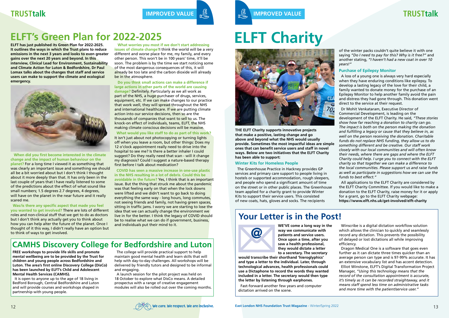### **TRUSTtalk**





**TRUSTtalk IMPROVED VALUE IMPROVED VALUE**

# **ELFT's Green Plan for 2022-2025 ELFT Charity**

**THE ELFT Charity supports innovative projects that make a positive, lasting change and go above and beyond what the NHS would usually provide. Sometimes the most impactful ideas are simple ones that can benefit service users and staff in novel ways. Below are two initiatives that the ELFT Charity has been able to support:**

### **Winter Kits for Homeless People**

The Greenhouse Practice in Hackney provides GP services and primary care support to people living in hostels or supported accommodation, rough sleepers, and people who spend a significant amount of time on the street or in other public places. The Greenhouse team applied for a charity grant to provide Winter Kits to support their service users. This consisted of new coats, hats, gloves and socks. The recipients

of the winter packs couldn't quite believe it with one saying *"Do I need to pay for this? Why is it free?"* and another stating, *"I haven't had a new coat in over 10 years!"*

### **Purchase of Epilepsy Monitor**

A loss of a young one is always very hard especially when they have enduring conditions like epilepsy. To develop a lasting legacy of the love for their child, a family wanted to donate money for the purchase of an Epilepsy Monitor to help another family avoid the pain and distress they had gone through. This donation went direct to the service at their request.

Dr Mohit Venkataram, Executive Director of Commercial Development, is leading on the development of the ELFT Charity. He said, *"These stories show how far reaching a donation to charity can go. The impact is both on the person making the donation and fulfilling a legacy or cause that they believe in, as well on the person receiving the donation. Charitable funds do not replace NHS funding, they allow us to do something different and be creative. Our staff work closely with our local communities and will often know their needs, where there are gaps and where the ELFT Charity could help. I urge you to connect with the ELFT charity so that together we can make a difference to the local communities. Please support us and raise funds as well as participate in suggestions how we can use the funds to best effect."* 

All applications to the ELFT Charity are considered by the ELFT Charity Committee. If you would like to make a donation to the ELFT Charity, raise money for it or apply for a grant, go to the ELFT Charity webpage: **https://www.elft.nhs.uk/get-involved/elft-charity**

## **Your Letter is in the Post!**



**WE'VE come a long way in the way we communicate with patients and service users. Once upon a time, after you saw a health professional, they would dictate a letter to a secretary. The secretary** 

**would transcribe their shorthand 'hieroglyphics' and type a letter to the individual. Later, through technological advances, health professionals could use a Dictaphone to record the words they wanted included in a letter. The secretary would then type the letter by listening through earphones.**

Fast-forward another few years and computer dictation arrived on the scene.

Winscribe is a digital dictation workflow solution which allows the clinician to quickly and seamlessly record any dictation. This prevents the possibility of delayed or lost dictations all while improving efficiency.

Dragon Medical One is a software that goes even further as it can dictate three times quicker than an average person can type and is 97-99% accurate. It has an extensive vocabulary list and has accent detection.

Elliot Winstone, ELFT's Digital Transformation Project Manager, *"Using this technology means that the record of the consultation appointment is accurate, it's timely as it can be recorded straightaway, and it means staff spend less time on administrative tasks and more time with the patient/service user."* 

**ELFT has just published its Green Plan for 2022-2025. It outlines the ways in which the Trust plans to reduce emissions in the next 3 years and looks to even greater gains over the next 20 years and beyond. In this interview, Clinical Lead for Environment, Sustainability and Climate Action for Luton & Bedfordshire, Dr Paul Lomax talks about the changes that staff and service users can make to support the climate and ecological emergency.**



**When did you first become interested in the climate change and the impact of human behaviour on the planet?** For a long time I viewed it as something that was clearly an important issue and something we should all be a bit worried about but I don't think I thought about it more deeply than that. It has only been in the last couple of years that I have really listened to some of the predictions about the effect of what sound like small numbers; 1.5 degrees 2.7 degrees, 4 degrees, will have on the planet in the near future and it really scared me.

**Was/is there any specific aspect that made you feel you wanted to get involved?** There are lots of different roles and non-clinical stuff that we get to do as doctors but I don't think any actually get you to think about how you can help alter the future of the planet. Once I thought of it this way, I didn't really have an option but to think of ways to get involved.

### **What worries you most if we don't start addressing**

**issues of climate change?**I think the world will be a very different and worse place for me, my family, and every other person. This won't be in 100 years' time, it'll be soon. The problem is by the time we start noticing some of the most dangerous consequences of this, it will already be too late and the carbon dioxide will already be in the atmosphere.

**Do you think small actions can make a difference if large actions in other parts of the world are causing damage?** Definitely. Particularly as we all work as part of the NHS, a huge purchaser of drugs, services, equipment, etc. If we can make changes to our practice that work well, they will spread throughout the NHS and international healthcare. If we are putting climate action into our service decisions, then so are the thousands of companies that want to sell to us. The knock-on effect of individuals, teams, ELFT, the NHS making climate conscious decisions will be massive.

**What would you like staff to do as part of this work?** It isn't just about not photocopying or turning lights off when you leave a room, but other things: Does my

12 o'clock appointment really need to drive into the hospital to see me? Is there a better inhaler I could suggest? Do they really need that scan - will it change my diagnosis? Could I suggest a nature-based therapy first before I talk about medication?

**COVID has seen a massive increase in one-use plastic in the NHS resulting in a lot of debris. Could this be avoidable in the future?** Yes, I think that is an important issue. But the thing that struck me about the pandemic was that feeling early on that when the lock downs were lifted and we didn't want to go back to doing everything the same way - long hours, long commutes, not seeing friends and family, not having green spaces, sitting in traffic jams. I worry we are starting to lose the idea that we can actually change the environment we live in for the better. I think the legacy of COVID should be to realise what we can do if government, business, and individuals put their mind to it.

## **CAMHS Discovery College for Bedfordshire and Luton**

**FREE workshops to provide life skills and promote mental wellbeing are to be provided by the Trust for children and young people across Bedfordshire and Luton. The area's first online Discovery College (DisCo) has been launched by ELFT's Child and Adolescent Mental Health Services (CAMHS).** 

It is open to anyone up to the age of 18 living in Bedford Borough, Central Bedfordshire and Luton and will provide courses and workshops shaped in partnership with young people.

The college will provide practical support to help maintain good mental health and learn skills that will help with day-to-day challenges. All workshops will be delivered by friendly tutors and designed to be informal and engaging.

A launch session for the pilot project was held on 18 October to explore what DisCo means. A detailed prospectus with a range of creative engagement modules will also be rolled out over the coming months.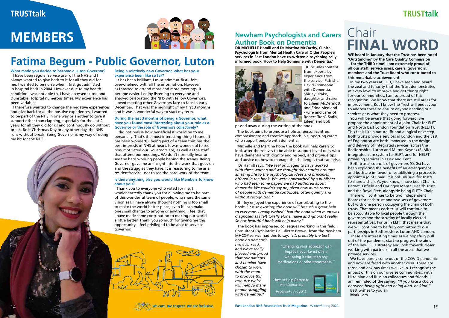# **MEMBERS**

**WE heard in January that the Trust has been rated 'Outstanding' by the Care Quality Commission – for the THIRD time! I am extremely proud of all our staff, service users, carers, governors, members and the Trust Board who contributed to this remarkable achievement.**

In my two years at ELFT, I have seen and heard the zeal and tenacity that the Trust demonstrates at every level to improve and get things right for our communities. I am so proud of this recognition. We know that there are still areas for improvement. But I know the Trust will endeavour to address these to ensure anyone needing our services gets what they need to progress.

You will be aware that going forward, we propose the appointment of a joint Chair for ELFT and North East London Foundation Trust (NELFT). This feels like a natural fit and a logical next step. Both trusts provide services in London and the East of England so are both immersed in the design and delivery of integrated services: across the Bedfordshire, Luton and Milton Keynes (BLMK) integrated care system for ELFT, and for NELFT providing services in Essex and Kent.

We have barely come out of the COVID pandemic and now are faced with another crisis. These are tense and anxious times we live in. I recognise the impact of this on our diverse communities, with Ukrainian and Russian colleagues and friends. I am reminded of the saying, *"If you face a choice between being right and being kind, be kind."* Best wishes to you all

Both trusts' councils of governors (CoGs) have been exploring the benefits of an arrangement and both are in favour of establishing a process to appoint a joint Chair. It is not unusual for trusts to share a chair. As you know, I have been Chair of Barnet, Enfield and Haringey Mental Health Trust and the Royal Free, alongside being ELFT's Chair.

There will continue to be two independent Boards for each trust and two sets of governors but with one person occupying the chair of both trusts. That means each trust will continue to be accountable to local people through their governors and the scrutiny of locally elected representatives. For us in ELFT, that means that we will continue to be fully committed to our partnerships in Bedfordshire, Luton AND London.

These are interesting times as we hopefully pull out of the pandemic, start to progress the aims of the new ELFT strategy and look towards closer working with partners in all the areas that we provide services.

**Mark Lam**



# Chair **FINAL WORD**

### **Newham Psychologists and Carers Author Book on Dementia**

**DR MICHELLE Hamill and Dr Martina McCarthy, Clinical Psychologists from Mental Health Care of Older People's services in East London have co-written a psychologically informed book 'How to Help Someone with Dementia.'**



It includes content from experts by experience from the service; Patrisha David - someone with Dementia, Shirley Drake, daughter and carer to Eileen McDermott and Edna Medland - wife and carer of Robert 'Bob'. Sadly, Eileen and Bob

passed away during the writing of the book.

The book aims to promote a holistic, person-centred, compassionate and creative approach in supporting carers who support people with dementia.

Michelle and Martina hope the book will help carers to look after themselves to be able to support loved ones who have dementia with dignity and respect, and provide tips and advice on how to manage the challenges that can arise.

 Dr Hamill says, *"We feel privileged to have worked with these women and we thought their stories brought amazing life to the psychological ideas and principles offered in the book. We were approached by a publisher who had seen some papers we had authored about dementia. We couldn't say no, given how much carers of people with dementia contribute, often quietly and without recognition."*

Shirley enjoyed the experience of contributing to the book: *"It is so exciting; the book will be such a great help to everyone. I really wished I had the book when mum was diagnosed as I felt totally alone, naive and ignorant really. So our beautiful book will help many."*

The book has impressed colleagues working in this field. Consultant Psychiatrist Dr Juliette Brown, from the Newham MHCOP service had this to say: *"It's probably the best* 

*book on dementia I've ever read, and we're really pleased and proud that our patients and families have chosen to work with the team to produce this resource which will help so many people struggling with dementia."*

"Changing your approach can improve your loved one's wellbeing better than any medications or other treatments."



# **Fatima Begum - Public Governor, Luton**

**What made you decide to become a Luton Governor?** I have been regular service user of the NHS and I always wanted to give back to it for all they did for me. I wanted to be nurse when I first got admitted in hospital back in 2004. However due to my health condition I was not able to. I have accessed Luton and Dunstable Hospital numerous times. My experience has been variable.

I therefore wanted to change the negative experiences and give back for all the positive experiences. I wanted to be part of the NHS in one way or another to give it support other than clapping, especially for the last 2 years for all they did for us and continuously do without break. Be it Christmas Day or any other day, the NHS runs without break. Being Governor is my way of doing my bit for the NHS.

**Being a relatively new Governor, what has your experience been like so far?**

It has been brilliant, I must admit at first I felt overwhelmed with all the information. However as I started to attend more and more meetings, it became easier. I enjoy listening to everyone and enjoyed celebrating the NHS with fellow Governors. I loved meeting other Governors face to face in early December. That was the highlight of my first 3 months and it was a wonderful way to start my term.

### **During the last 3 months of being a Governor, what have you found most interesting about your role as a Governor or the role of Governors collectively?**

I did not realise how beneficial it would be to me personally. That's the most interesting thing I found. It has been wonderful being part of a team that has the best interests of NHS at heart. It was wonderful to see how motivated our Governors are, as well as the staff that attend our meetings. We don't normally hear or see the hard working people behind the scenes. Being Governor gave me an insight into the work that goes on and the struggles they have. It is reassuring to me as a resident/service user to see the hard work of the team.

### **Is there anything else you would like Members to know about you?**

Thank you to everyone who voted for me. I wholeheartedly thank you for allowing me to be part of this wonderful team of people, who share the same vision as I. I have always thought nothing is too small to make the world better place, even if I can make one small change to anyone or anything, I feel that I have made some contribution to making our world a little better. Thank you so much for giving me this opportunity. I feel privileged to be able to serve as governor.